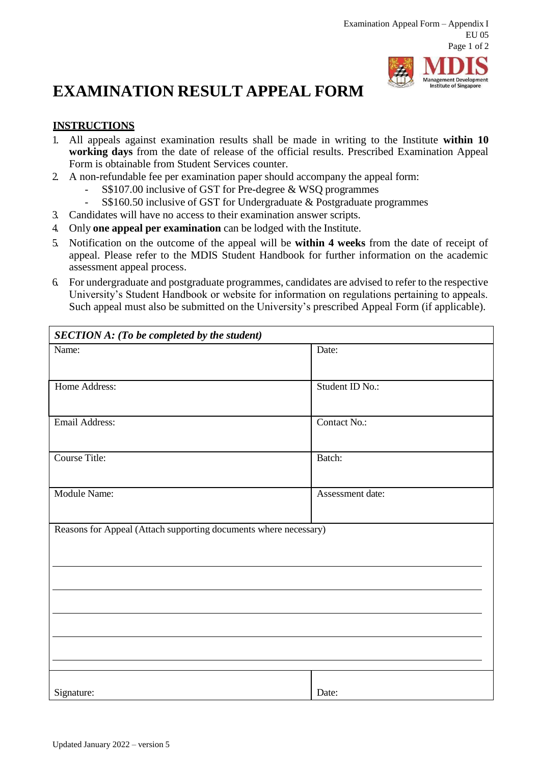## **EXAMINATION RESULT APPEAL FORM**

## **Management Development Institute of Singapore**

## **INSTRUCTIONS**

- 1. All appeals against examination results shall be made in writing to the Institute **within 10 working days** from the date of release of the official results. Prescribed Examination Appeal Form is obtainable from Student Services counter.
- 2. A non-refundable fee per examination paper should accompany the appeal form:
	- S\$107.00 inclusive of GST for Pre-degree & WSQ programmes
	- S\$160.50 inclusive of GST for Undergraduate & Postgraduate programmes
- 3. Candidates will have no access to their examination answer scripts.
- 4. Only **one appeal per examination** can be lodged with the Institute.
- 5. Notification on the outcome of the appeal will be **within 4 weeks** from the date of receipt of appeal. Please refer to the MDIS Student Handbook for further information on the academic assessment appeal process.
- 6. For undergraduate and postgraduate programmes, candidates are advised to refer to the respective University's Student Handbook or website for information on regulations pertaining to appeals. Such appeal must also be submitted on the University's prescribed Appeal Form (if applicable).

| <b>SECTION A: (To be completed by the student)</b>               |                  |  |
|------------------------------------------------------------------|------------------|--|
| Name:                                                            | Date:            |  |
| Home Address:                                                    | Student ID No.:  |  |
| Email Address:                                                   | Contact No.:     |  |
| <b>Course Title:</b>                                             | Batch:           |  |
| Module Name:                                                     | Assessment date: |  |
| Reasons for Appeal (Attach supporting documents where necessary) |                  |  |
|                                                                  |                  |  |
|                                                                  |                  |  |
|                                                                  |                  |  |
| Signature:                                                       | Date:            |  |